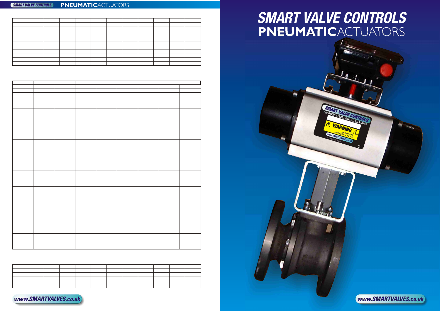|                          | <u> 1989 - Jan Salaman II, masa ka</u> |  |       |  |  |  |
|--------------------------|----------------------------------------|--|-------|--|--|--|
|                          |                                        |  | _____ |  |  |  |
|                          |                                        |  |       |  |  |  |
| the contract of the con- |                                        |  |       |  |  |  |
|                          |                                        |  |       |  |  |  |
|                          |                                        |  |       |  |  |  |

## **PNEUMATIC**ACTUATORS **SMART VALVE CONTROLS**

ll pri  $\sim$  dis

## **PNEUMATIC**ACTUATORS *SMART VALVE CONTROLS*

 $e^{i\theta}$ elei **tric** 



www.SMARTVALVES.co.uk



tlin